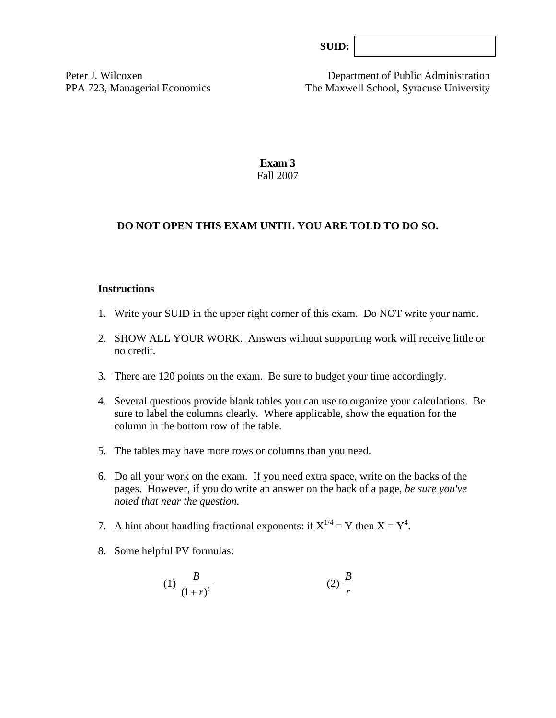| SUB: |  |
|------|--|
|      |  |

Peter J. Wilcoxen Department of Public Administration PPA 723, Managerial Economics The Maxwell School, Syracuse University

> **Exam 3**  Fall 2007

#### **DO NOT OPEN THIS EXAM UNTIL YOU ARE TOLD TO DO SO.**

#### **Instructions**

- 1. Write your SUID in the upper right corner of this exam. Do NOT write your name.
- 2. SHOW ALL YOUR WORK. Answers without supporting work will receive little or no credit.
- 3. There are 120 points on the exam. Be sure to budget your time accordingly.
- 4. Several questions provide blank tables you can use to organize your calculations. Be sure to label the columns clearly. Where applicable, show the equation for the column in the bottom row of the table*.*
- 5. The tables may have more rows or columns than you need.
- 6. Do all your work on the exam. If you need extra space, write on the backs of the pages. However, if you do write an answer on the back of a page, *be sure you've noted that near the question*.
- 7. A hint about handling fractional exponents: if  $X^{1/4} = Y$  then  $X = Y^4$ .
- 8. Some helpful PV formulas:

$$
(1) \frac{B}{(1+r)^t} \tag{2} \frac{B}{r}
$$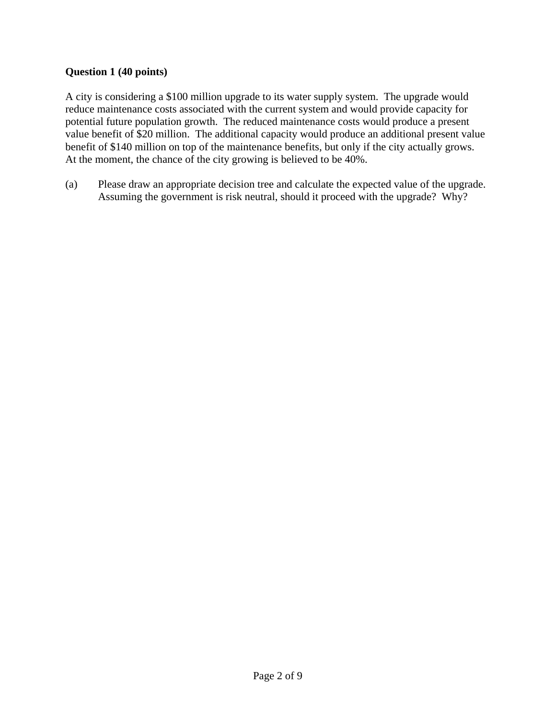# **Question 1 (40 points)**

A city is considering a \$100 million upgrade to its water supply system. The upgrade would reduce maintenance costs associated with the current system and would provide capacity for potential future population growth. The reduced maintenance costs would produce a present value benefit of \$20 million. The additional capacity would produce an additional present value benefit of \$140 million on top of the maintenance benefits, but only if the city actually grows. At the moment, the chance of the city growing is believed to be 40%.

(a) Please draw an appropriate decision tree and calculate the expected value of the upgrade. Assuming the government is risk neutral, should it proceed with the upgrade? Why?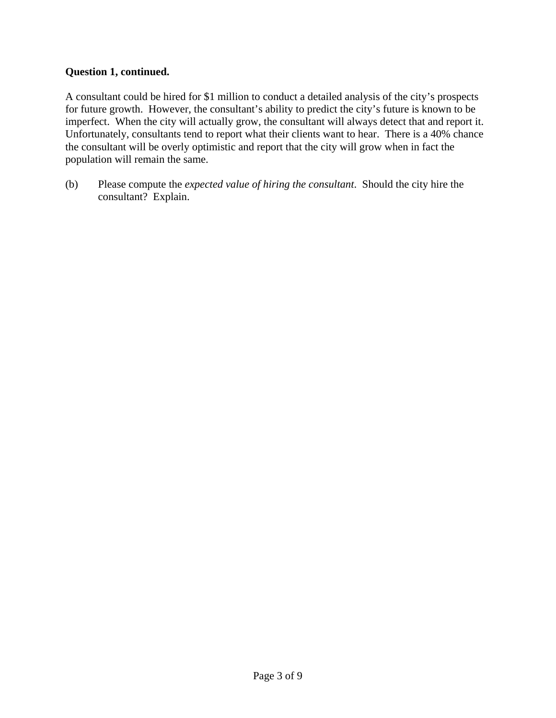### **Question 1, continued.**

A consultant could be hired for \$1 million to conduct a detailed analysis of the city's prospects for future growth. However, the consultant's ability to predict the city's future is known to be imperfect. When the city will actually grow, the consultant will always detect that and report it. Unfortunately, consultants tend to report what their clients want to hear. There is a 40% chance the consultant will be overly optimistic and report that the city will grow when in fact the population will remain the same.

(b) Please compute the *expected value of hiring the consultant*. Should the city hire the consultant? Explain.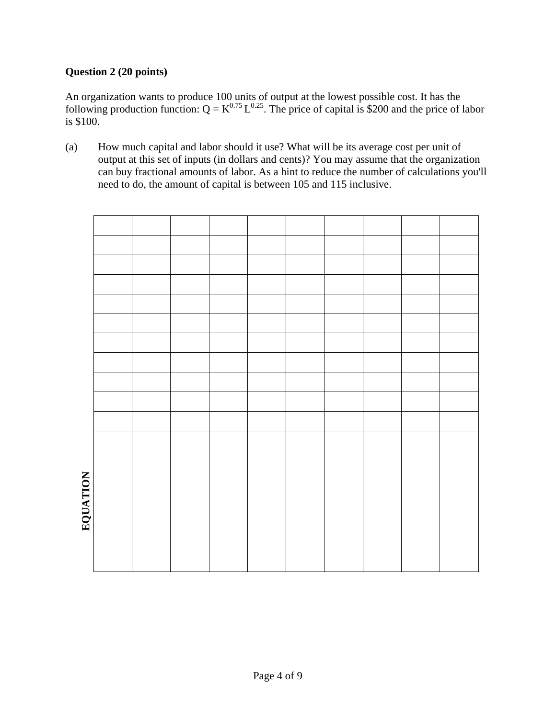# **Question 2 (20 points)**

An organization wants to produce 100 units of output at the lowest possible cost. It has the following production function:  $Q = K^{0.75} L^{0.25}$ . The price of capital is \$200 and the price of labor is \$100.

(a) How much capital and labor should it use? What will be its average cost per unit of output at this set of inputs (in dollars and cents)? You may assume that the organization can buy fractional amounts of labor. As a hint to reduce the number of calculations you'll need to do, the amount of capital is between 105 and 115 inclusive.

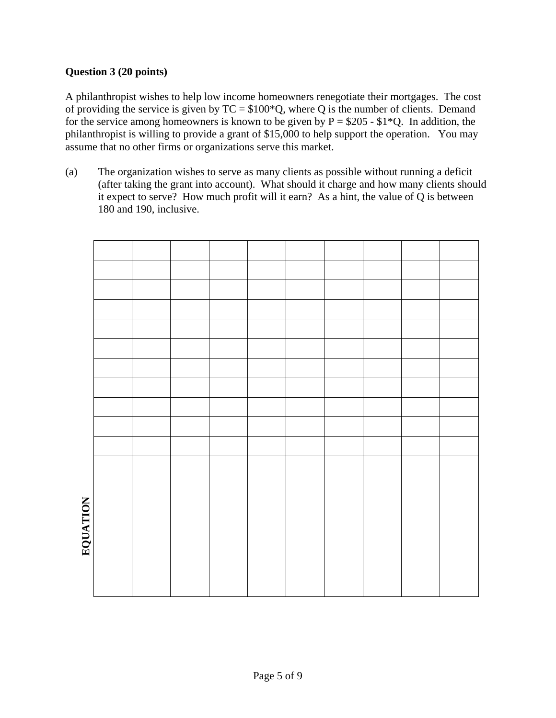# **Question 3 (20 points)**

A philanthropist wishes to help low income homeowners renegotiate their mortgages. The cost of providing the service is given by  $TC = $100*Q$ , where Q is the number of clients. Demand for the service among homeowners is known to be given by  $P = $205 - $1*Q$ . In addition, the philanthropist is willing to provide a grant of \$15,000 to help support the operation. You may assume that no other firms or organizations serve this market.

(a) The organization wishes to serve as many clients as possible without running a deficit (after taking the grant into account). What should it charge and how many clients should it expect to serve? How much profit will it earn? As a hint, the value of Q is between 180 and 190, inclusive.

| PAUATION |  |  |  |  |  |
|----------|--|--|--|--|--|
|          |  |  |  |  |  |
|          |  |  |  |  |  |
|          |  |  |  |  |  |
|          |  |  |  |  |  |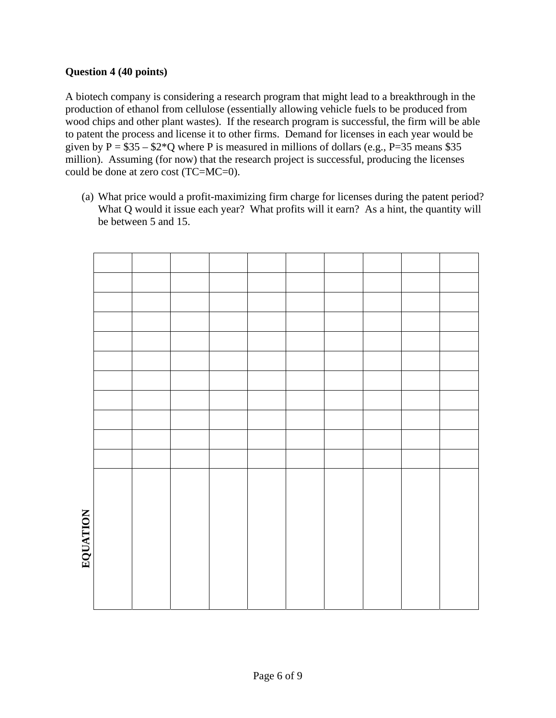# **Question 4 (40 points)**

A biotech company is considering a research program that might lead to a breakthrough in the production of ethanol from cellulose (essentially allowing vehicle fuels to be produced from wood chips and other plant wastes). If the research program is successful, the firm will be able to patent the process and license it to other firms. Demand for licenses in each year would be given by  $P = $35 - $2*Q$  where P is measured in millions of dollars (e.g., P=35 means \$35 million). Assuming (for now) that the research project is successful, producing the licenses could be done at zero cost (TC=MC=0).

(a) What price would a profit-maximizing firm charge for licenses during the patent period? What Q would it issue each year? What profits will it earn? As a hint, the quantity will be between 5 and 15.

| EVULLATION |  |  |  |  |  |
|------------|--|--|--|--|--|
|            |  |  |  |  |  |
|            |  |  |  |  |  |
|            |  |  |  |  |  |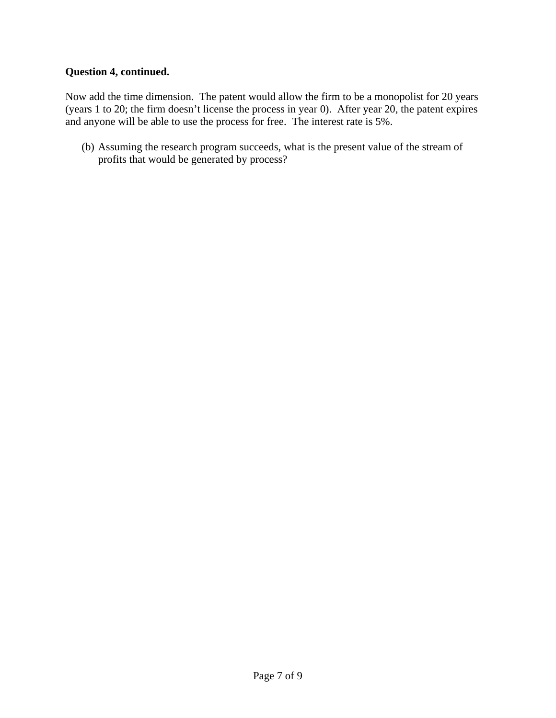### **Question 4, continued.**

Now add the time dimension. The patent would allow the firm to be a monopolist for 20 years (years 1 to 20; the firm doesn't license the process in year 0). After year 20, the patent expires and anyone will be able to use the process for free. The interest rate is 5%.

(b) Assuming the research program succeeds, what is the present value of the stream of profits that would be generated by process?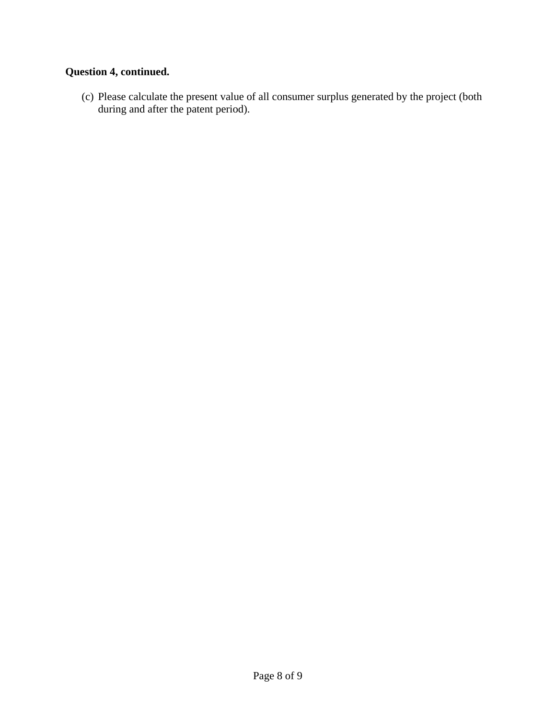# **Question 4, continued.**

(c) Please calculate the present value of all consumer surplus generated by the project (both during and after the patent period).